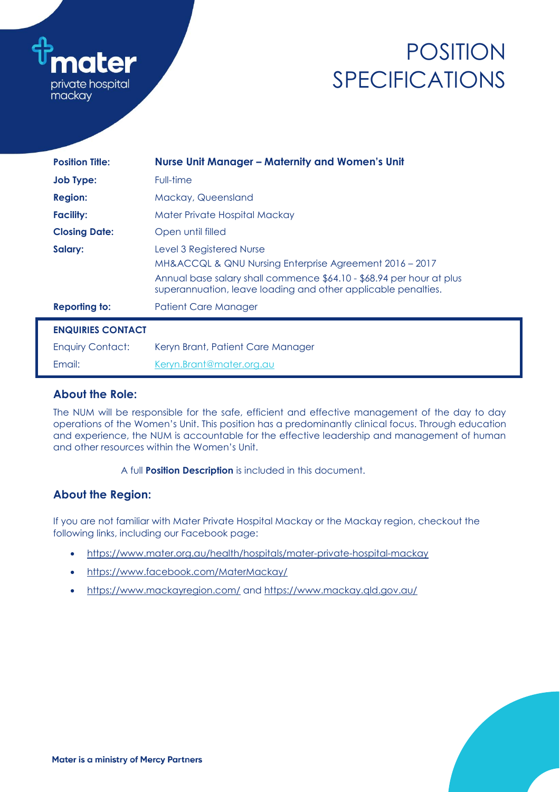

# POSITION SPECIFICATIONS

| <b>Position Title:</b>   | <b>Nurse Unit Manager - Maternity and Women's Unit</b>                                                                                                                                                                       |  |  |  |
|--------------------------|------------------------------------------------------------------------------------------------------------------------------------------------------------------------------------------------------------------------------|--|--|--|
| <b>Job Type:</b>         | Full-time                                                                                                                                                                                                                    |  |  |  |
| <b>Region:</b>           | Mackay, Queensland                                                                                                                                                                                                           |  |  |  |
| <b>Facility:</b>         | Mater Private Hospital Mackay                                                                                                                                                                                                |  |  |  |
| <b>Closing Date:</b>     | Open until filled                                                                                                                                                                                                            |  |  |  |
| Salary:                  | Level 3 Registered Nurse<br>MH&ACCQL & QNU Nursing Enterprise Agreement 2016 - 2017<br>Annual base salary shall commence \$64.10 - \$68.94 per hour at plus<br>superannuation, leave loading and other applicable penalties. |  |  |  |
| <b>Reporting to:</b>     | Patient Care Manager                                                                                                                                                                                                         |  |  |  |
| <b>ENQUIRIES CONTACT</b> |                                                                                                                                                                                                                              |  |  |  |
| <b>Enquiry Contact:</b>  | Keryn Brant, Patient Care Manager                                                                                                                                                                                            |  |  |  |
| Email:                   | Keryn.Brant@mater.org.au                                                                                                                                                                                                     |  |  |  |

## **About the Role:**

The NUM will be responsible for the safe, efficient and effective management of the day to day operations of the Women's Unit. This position has a predominantly clinical focus. Through education and experience, the NUM is accountable for the effective leadership and management of human and other resources within the Women's Unit.

A full **Position Description** is included in this document.

# **About the Region:**

If you are not familiar with Mater Private Hospital Mackay or the Mackay region, checkout the following links, including our Facebook page:

- <https://www.mater.org.au/health/hospitals/mater-private-hospital-mackay>
- <https://www.facebook.com/MaterMackay/>
- <https://www.mackayregion.com/> and<https://www.mackay.qld.gov.au/>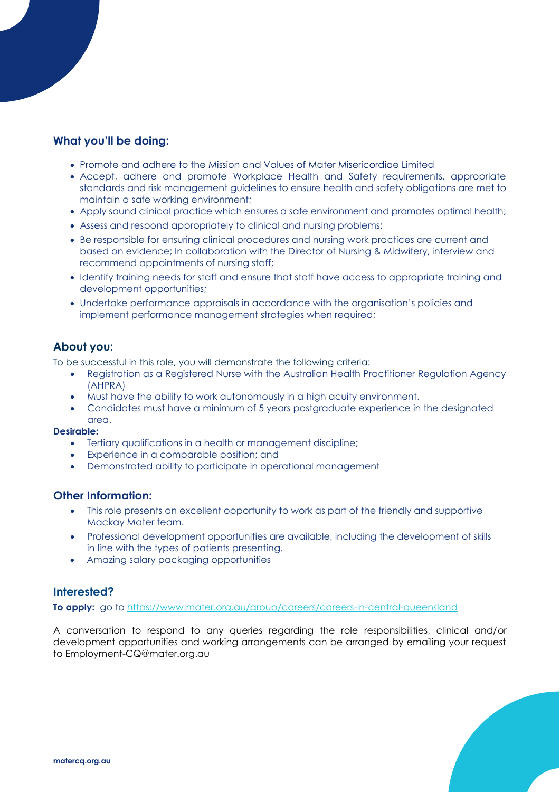# **What you'll be doing:**

- Promote and adhere to the Mission and Values of Mater Misericordiae Limited
- Accept, adhere and promote Workplace Health and Safety requirements, appropriate standards and risk management guidelines to ensure health and safety obligations are met to maintain a safe working environment;
- Apply sound clinical practice which ensures a safe environment and promotes optimal health;
- Assess and respond appropriately to clinical and nursing problems;
- Be responsible for ensuring clinical procedures and nursing work practices are current and based on evidence; In collaboration with the Director of Nursing & Midwifery, interview and recommend appointments of nursing staff;
- Identify training needs for staff and ensure that staff have access to appropriate training and development opportunities;
- Undertake performance appraisals in accordance with the organisation's policies and implement performance management strategies when required;

### **About you:**

To be successful in this role, you will demonstrate the following criteria:

- Registration as a Registered Nurse with the Australian Health Practitioner Regulation Agency (AHPRA)
- Must have the ability to work autonomously in a high acuity environment.
- Candidates must have a minimum of 5 years postgraduate experience in the designated area.

#### **Desirable:**

- Tertiary qualifications in a health or management discipline;
- Experience in a comparable position; and
- Demonstrated ability to participate in operational management

#### **Other Information:**

- This role presents an excellent opportunity to work as part of the friendly and supportive Mackay Mater team.
- Professional development opportunities are available, including the development of skills in line with the types of patients presenting.
- Amazing salary packaging opportunities

# **Interested?**

**To apply:** go to<https://www.mater.org.au/group/careers/careers-in-central-queensland>

A conversation to respond to any queries regarding the role responsibilities, clinical and/or development opportunities and working arrangements can be arranged by emailing your request to Employment-CQ@mater.org.au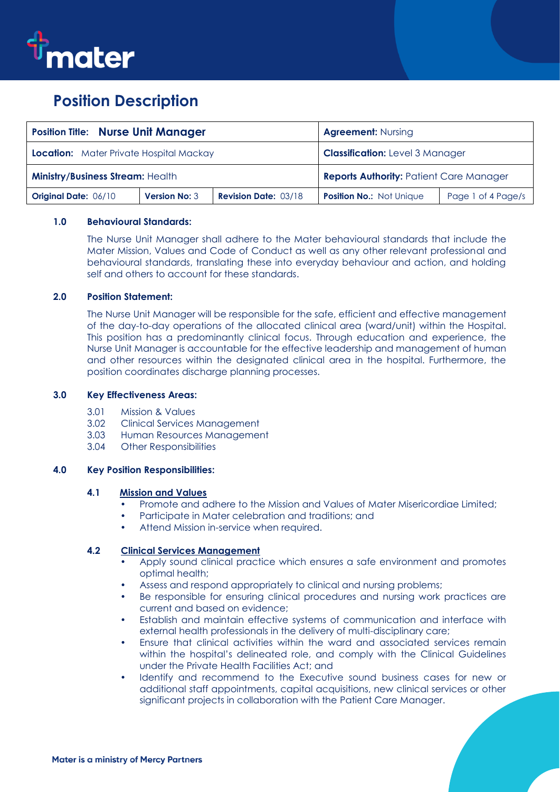

# **Position Description**

| <b>Position Title: Nurse Unit Manager</b>      |                      |                             | <b>Agreement: Nursing</b>                      |                    |
|------------------------------------------------|----------------------|-----------------------------|------------------------------------------------|--------------------|
| <b>Location:</b> Mater Private Hospital Mackay |                      |                             | <b>Classification:</b> Level 3 Manager         |                    |
| <b>Ministry/Business Stream: Health</b>        |                      |                             | <b>Reports Authority: Patient Care Manager</b> |                    |
| <b>Original Date: 06/10</b>                    | <b>Version No: 3</b> | <b>Revision Date: 03/18</b> | Position No.: Not Unique                       | Page 1 of 4 Page/s |

#### **1.0 Behavioural Standards:**

The Nurse Unit Manager shall adhere to the Mater behavioural standards that include the Mater Mission, Values and Code of Conduct as well as any other relevant professional and behavioural standards, translating these into everyday behaviour and action, and holding self and others to account for these standards.

#### **2.0 Position Statement:**

The Nurse Unit Manager will be responsible for the safe, efficient and effective management of the day-to-day operations of the allocated clinical area (ward/unit) within the Hospital. This position has a predominantly clinical focus. Through education and experience, the Nurse Unit Manager is accountable for the effective leadership and management of human and other resources within the designated clinical area in the hospital. Furthermore, the position coordinates discharge planning processes.

#### **3.0 Key Effectiveness Areas:**

- 3.01 Mission & Values
- 3.02 Clinical Services Management
- 3.03 Human Resources Management
- 3.04 Other Responsibilities

#### **4.0 Key Position Responsibilities:**

#### **4.1 Mission and Values**

- Promote and adhere to the Mission and Values of Mater Misericordiae Limited;
- Participate in Mater celebration and traditions; and
- Attend Mission in-service when required.

#### **4.2 Clinical Services Management**

- Apply sound clinical practice which ensures a safe environment and promotes optimal health;
- Assess and respond appropriately to clinical and nursing problems;
- Be responsible for ensuring clinical procedures and nursing work practices are current and based on evidence;
- Establish and maintain effective systems of communication and interface with external health professionals in the delivery of multi-disciplinary care;
- Ensure that clinical activities within the ward and associated services remain within the hospital's delineated role, and comply with the Clinical Guidelines under the Private Health Facilities Act; and
- Identify and recommend to the Executive sound business cases for new or additional staff appointments, capital acquisitions, new clinical services or other significant projects in collaboration with the Patient Care Manager.